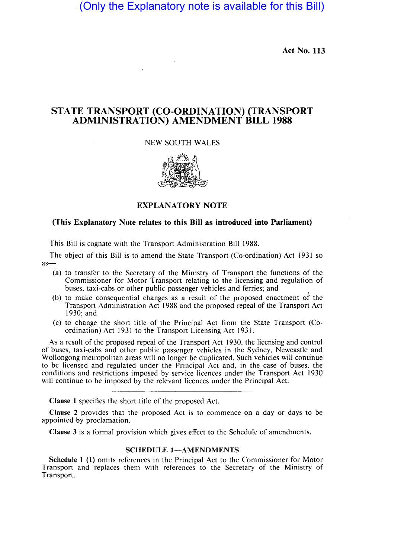# (Only the Explanatory note is available for this Bill)

Act No. 113

## STATE TRANSPORT (CO-ORDINATION) (TRANSPORT ADMINISTRATION) AMENDMENT BILL 1988

### NEW SOUTH WALES



## EXPLANATORY NOTE

#### (This Explanatory Note relates to this Bill as introduced into Parliament)

This Bill is cognate with the Transport Administration Bill 1988.

The object of this Bill is to amend the State Transport (Co-ordination) Act 1931 so  $as-$ 

- (a) to transfer to the Secretary of the Ministry of Transport the functions of the Commissioner for Motor Transport relating to the licensing and regulation of buses, taxi-cabs or other public passenger vehicles and ferries; and ,
- (b) to make consequential changes as a result of the proposed enactment of the Transport Administration Act 1988 and the proposed repeal of the Transport Act 1930; and
- (c) to change the short title of the Principal Act from the State Transport (Coordination) Act 1931 to the Transport Licensing Act 1931.

As a result of the proposed repeal of the Transport Act 1930, the licensing and control of buses, taxi-cabs and other public pas enger vehicles in the Sydney, Newcastle and Wollongong metropolitan areas will no longer be duplicated. Such vehicles will continue to be licensed and regulated under the Principal Act and, in the case of buses, the conditions and restrictions imposed by service licences under the Transport Act 1930 will continue to be imposed by the relevant licences under the Principal Act.

Clause 1 specifies the short title of the proposed Act.

Clause 2 provides that the proposed Act is to commence on a day or days to be appointed by proclamation.

Clause 3 is a formal provision which gives effect to the Schedule of amendments.

#### SCHEDULE 1-AMENDMENTS

Schedule 1 (1) omits references in the Principal Act to the Commissioner for Motor Transport and replaces them with references to the Secretary of the Ministry of Transport.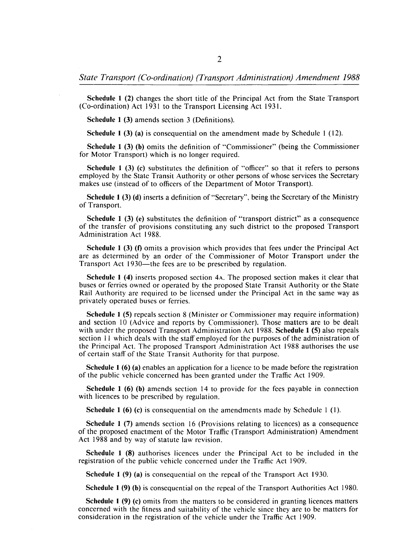Schedule 1 (2) changes the short title of the Principal Act from the State Transport (Co-ordination) Act 1931 to the Transport Licensing Act 1931.

Schedule 1 (3) amends section 3 (Definitions).

Schedule 1 (3) (a) is consequential on the amendment made by Schedule 1 (12).

Schedule 1 (3) (b) omits the definition of "Commissioner" (being the Commissioner for Motor Transport) which is no longer required.

Schedule 1 (3) (c) substitutes the definition of "officer" so that it refers to persons employed by the State Transit Authority or other persons of whose services the Secretary makes use (instead of to officers of the Department of Motor Transport).

Schedule 1 (3) (d) inserts a definition of "Secretary", being the Secretary of the Ministry of Transport.

Schedule 1 (3) (e) substitutes the definition of "transport district" as a consequence of the transfer of provisions constituting any such district to the proposed Transport Administration Act 1988.

Schedule 1 (3) (f) omits a provision which provides that fees under the Principal Act are as determined by an order of the Commissioner of Motor Transport under the Transport Act 1930—the fees are to be prescribed by regulation.

Schedule 1 (4) inserts proposed section 4A. The proposed section makes it clear that buses or ferries owned or operated by the proposed State Transit Authority or the State Rail Authority are required to be licensed under the Principal Act in the same way as privately operated buses or ferries.

Schedule 1 (5) repeals section 8 (Minister or Commissioner may require information) and section 10 (Advice and reports by Commissioner). Those matters are to be dealt with under the proposed Transport Administration Act 1988. Schedule 1 (5) also repeals section II which deals with the staff employed for the purposes of the administration of the Principal Act. The proposed Transport Administration Act 1988 authorises the use of certain staff of the State Transit Authority for that purpose.

Schedule 1 (6) (a) enables an application for a licence to be made before the registration of the public vehicle concerned has been granted under the Traffic Act 1909.

Schedule 1 (6) (b) amends section 14 to provide for the fees payable in connection with licences to be prescribed by regulation.

Schedule 1 (6) (c) is consequential on the amendments made by Schedule 1 (I).

Schedule 1 (7) amends section 16 (Provisions relating to licences) as a consequence of the proposed enactment of the Motor Traffic (Transport Administration) Amendment Act 1988 and by way of statute law revision.

Schedule 1 (8) authorises licences under the Principal Act to be included in the registration of the public vehicle concerned under the Traffic Act 1909.

Schedule 1 (9) (a) is consequential on the repeal of the Transport Act 1930.

Schedule 1 (9) (b) is consequential on the repeal of the Transport Authorities Act 1980.

Schedule 1 (9) (c) omits from the matters to be considered in granting licences matters concerned with the fitness and suitability of the vehicle since they are to be matters for consideration in the registration of the vehicle under the Traffic Act 1909.